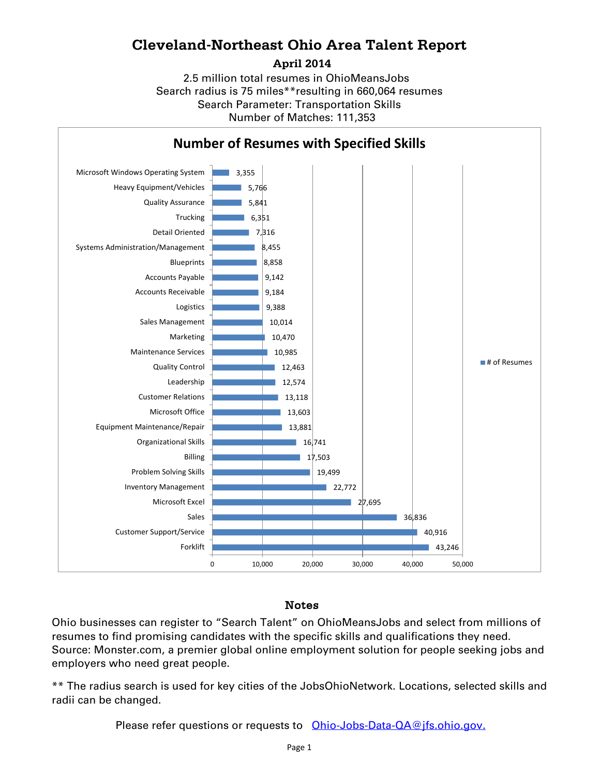## **Cleveland-Northeast Ohio Area Talent Report**

**April 2014**

2.5 million total resumes in OhioMeansJobs Search radius is 75 miles\*\*resulting in 660,064 resumes Number of Matches: 111,353 Search Parameter: Transportation Skills



## Notes

Ohio businesses can register to "Search Talent" on OhioMeansJobs and select from millions of resumes to find promising candidates with the specific skills and qualifications they need. Source: Monster.com, a premier global online employment solution for people seeking jobs and employers who need great people.

\*\* The radius search is used for key cities of the JobsOhioNetwork. Locations, selected skills and radii can be changed.

Please refer questions or requests to [Ohio-Jobs-Data-QA@jfs.ohio.gov.](mailto:Ohio-Jobs-Data-QA@jfs.ohio.gov.)